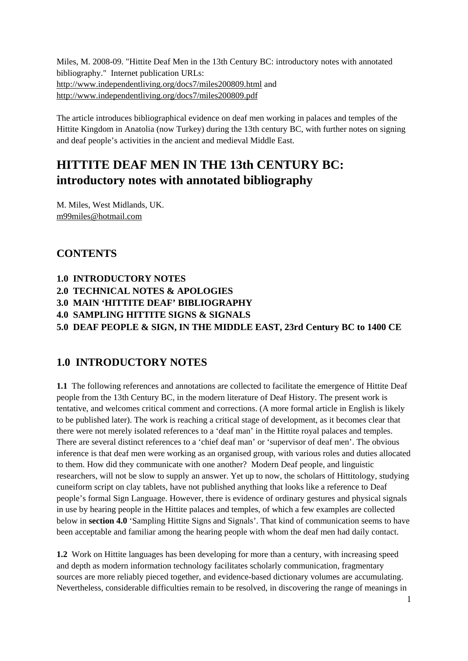Miles, M. 2008-09. "Hittite Deaf Men in the 13th Century BC: introductory notes with annotated bibliography." Internet publication URLs: http://www.independentliving.org/docs7/miles200809.html and http://www.independentliving.org/docs7/miles200809.pdf

The article introduces bibliographical evidence on deaf men working in palaces and temples of the Hittite Kingdom in Anatolia (now Turkey) during the 13th century BC, with further notes on signing and deaf people's activities in the ancient and medieval Middle East.

# **HITTITE DEAF MEN IN THE 13th CENTURY BC: introductory notes with annotated bibliography**

M. Miles, West Midlands, UK. m99miles@hotmail.com

## **CONTENTS**

- **1.0 INTRODUCTORY NOTES**
- **2.0 TECHNICAL NOTES & APOLOGIES**
- **3.0 MAIN 'HITTITE DEAF' BIBLIOGRAPHY**
- **4.0 SAMPLING HITTITE SIGNS & SIGNALS**

**5.0 DEAF PEOPLE & SIGN, IN THE MIDDLE EAST, 23rd Century BC to 1400 CE**

# **1.0 INTRODUCTORY NOTES**

**1.1** The following references and annotations are collected to facilitate the emergence of Hittite Deaf people from the 13th Century BC, in the modern literature of Deaf History. The present work is tentative, and welcomes critical comment and corrections. (A more formal article in English is likely to be published later). The work is reaching a critical stage of development, as it becomes clear that there were not merely isolated references to a 'deaf man' in the Hittite royal palaces and temples. There are several distinct references to a 'chief deaf man' or 'supervisor of deaf men'. The obvious inference is that deaf men were working as an organised group, with various roles and duties allocated to them. How did they communicate with one another? Modern Deaf people, and linguistic researchers, will not be slow to supply an answer. Yet up to now, the scholars of Hittitology, studying cuneiform script on clay tablets, have not published anything that looks like a reference to Deaf people's formal Sign Language. However, there is evidence of ordinary gestures and physical signals in use by hearing people in the Hittite palaces and temples, of which a few examples are collected below in **section 4.0** 'Sampling Hittite Signs and Signals'. That kind of communication seems to have been acceptable and familiar among the hearing people with whom the deaf men had daily contact.

**1.2** Work on Hittite languages has been developing for more than a century, with increasing speed and depth as modern information technology facilitates scholarly communication, fragmentary sources are more reliably pieced together, and evidence-based dictionary volumes are accumulating. Nevertheless, considerable difficulties remain to be resolved, in discovering the range of meanings in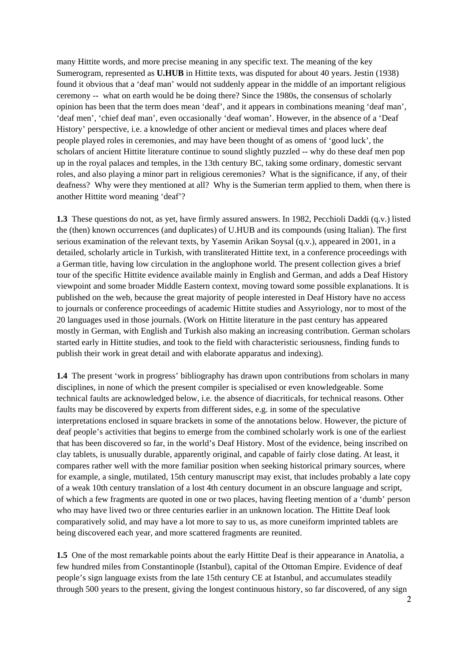many Hittite words, and more precise meaning in any specific text. The meaning of the key Sumerogram, represented as **U.HUB** in Hittite texts, was disputed for about 40 years. Jestin (1938) found it obvious that a 'deaf man' would not suddenly appear in the middle of an important religious ceremony -- what on earth would he be doing there? Since the 1980s, the consensus of scholarly opinion has been that the term does mean 'deaf', and it appears in combinations meaning 'deaf man', 'deaf men', 'chief deaf man', even occasionally 'deaf woman'. However, in the absence of a 'Deaf History' perspective, i.e. a knowledge of other ancient or medieval times and places where deaf people played roles in ceremonies, and may have been thought of as omens of 'good luck', the scholars of ancient Hittite literature continue to sound slightly puzzled -- why do these deaf men pop up in the royal palaces and temples, in the 13th century BC, taking some ordinary, domestic servant roles, and also playing a minor part in religious ceremonies? What is the significance, if any, of their deafness? Why were they mentioned at all? Why is the Sumerian term applied to them, when there is another Hittite word meaning 'deaf'?

**1.3** These questions do not, as yet, have firmly assured answers. In 1982, Pecchioli Daddi (q.v.) listed the (then) known occurrences (and duplicates) of U.HUB and its compounds (using Italian). The first serious examination of the relevant texts, by Yasemin Arikan Soysal (q.v.), appeared in 2001, in a detailed, scholarly article in Turkish, with transliterated Hittite text, in a conference proceedings with a German title, having low circulation in the anglophone world. The present collection gives a brief tour of the specific Hittite evidence available mainly in English and German, and adds a Deaf History viewpoint and some broader Middle Eastern context, moving toward some possible explanations. It is published on the web, because the great majority of people interested in Deaf History have no access to journals or conference proceedings of academic Hittite studies and Assyriology, nor to most of the 20 languages used in those journals. (Work on Hittite literature in the past century has appeared mostly in German, with English and Turkish also making an increasing contribution. German scholars started early in Hittite studies, and took to the field with characteristic seriousness, finding funds to publish their work in great detail and with elaborate apparatus and indexing).

**1.4** The present 'work in progress' bibliography has drawn upon contributions from scholars in many disciplines, in none of which the present compiler is specialised or even knowledgeable. Some technical faults are acknowledged below, i.e. the absence of diacriticals, for technical reasons. Other faults may be discovered by experts from different sides, e.g. in some of the speculative interpretations enclosed in square brackets in some of the annotations below. However, the picture of deaf people's activities that begins to emerge from the combined scholarly work is one of the earliest that has been discovered so far, in the world's Deaf History. Most of the evidence, being inscribed on clay tablets, is unusually durable, apparently original, and capable of fairly close dating. At least, it compares rather well with the more familiar position when seeking historical primary sources, where for example, a single, mutilated, 15th century manuscript may exist, that includes probably a late copy of a weak 10th century translation of a lost 4th century document in an obscure language and script, of which a few fragments are quoted in one or two places, having fleeting mention of a 'dumb' person who may have lived two or three centuries earlier in an unknown location. The Hittite Deaf look comparatively solid, and may have a lot more to say to us, as more cuneiform imprinted tablets are being discovered each year, and more scattered fragments are reunited.

**1.5** One of the most remarkable points about the early Hittite Deaf is their appearance in Anatolia, a few hundred miles from Constantinople (Istanbul), capital of the Ottoman Empire. Evidence of deaf people's sign language exists from the late 15th century CE at Istanbul, and accumulates steadily through 500 years to the present, giving the longest continuous history, so far discovered, of any sign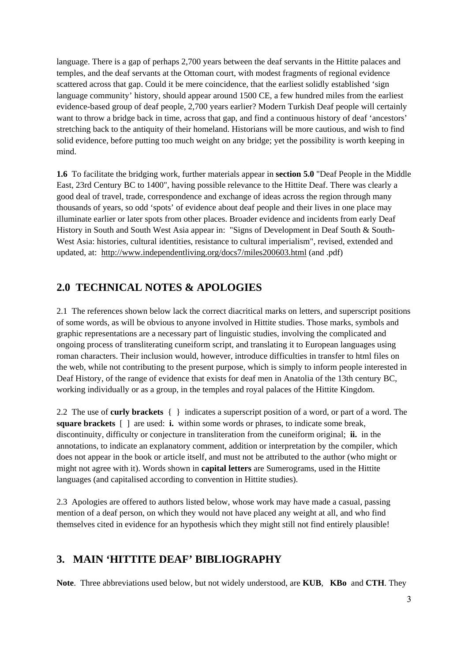language. There is a gap of perhaps 2,700 years between the deaf servants in the Hittite palaces and temples, and the deaf servants at the Ottoman court, with modest fragments of regional evidence scattered across that gap. Could it be mere coincidence, that the earliest solidly established 'sign language community' history, should appear around 1500 CE, a few hundred miles from the earliest evidence-based group of deaf people, 2,700 years earlier? Modern Turkish Deaf people will certainly want to throw a bridge back in time, across that gap, and find a continuous history of deaf 'ancestors' stretching back to the antiquity of their homeland. Historians will be more cautious, and wish to find solid evidence, before putting too much weight on any bridge; yet the possibility is worth keeping in mind.

**1.6** To facilitate the bridging work, further materials appear in **section 5.0** "Deaf People in the Middle East, 23rd Century BC to 1400", having possible relevance to the Hittite Deaf. There was clearly a good deal of travel, trade, correspondence and exchange of ideas across the region through many thousands of years, so odd 'spots' of evidence about deaf people and their lives in one place may illuminate earlier or later spots from other places. Broader evidence and incidents from early Deaf History in South and South West Asia appear in: "Signs of Development in Deaf South & South-West Asia: histories, cultural identities, resistance to cultural imperialism", revised, extended and updated, at: http://www.independentliving.org/docs7/miles200603.html (and .pdf)

# **2.0 TECHNICAL NOTES & APOLOGIES**

2.1 The references shown below lack the correct diacritical marks on letters, and superscript positions of some words, as will be obvious to anyone involved in Hittite studies. Those marks, symbols and graphic representations are a necessary part of linguistic studies, involving the complicated and ongoing process of transliterating cuneiform script, and translating it to European languages using roman characters. Their inclusion would, however, introduce difficulties in transfer to html files on the web, while not contributing to the present purpose, which is simply to inform people interested in Deaf History, of the range of evidence that exists for deaf men in Anatolia of the 13th century BC, working individually or as a group, in the temples and royal palaces of the Hittite Kingdom.

2.2 The use of **curly brackets** { } indicates a superscript position of a word, or part of a word. The **square brackets** [ ] are used: **i.** within some words or phrases, to indicate some break, discontinuity, difficulty or conjecture in transliteration from the cuneiform original; **ii.** in the annotations, to indicate an explanatory comment, addition or interpretation by the compiler, which does not appear in the book or article itself, and must not be attributed to the author (who might or might not agree with it). Words shown in **capital letters** are Sumerograms, used in the Hittite languages (and capitalised according to convention in Hittite studies).

2.3 Apologies are offered to authors listed below, whose work may have made a casual, passing mention of a deaf person, on which they would not have placed any weight at all, and who find themselves cited in evidence for an hypothesis which they might still not find entirely plausible!

# **3. MAIN 'HITTITE DEAF' BIBLIOGRAPHY**

**Note**. Three abbreviations used below, but not widely understood, are **KUB**, **KBo** and **CTH**. They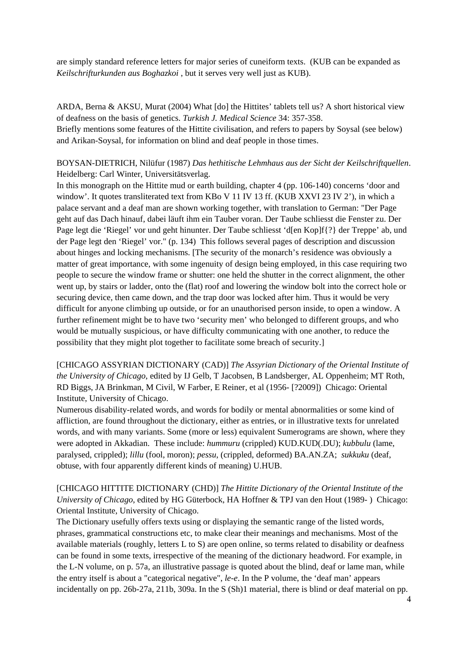are simply standard reference letters for major series of cuneiform texts. (KUB can be expanded as *Keilschrifturkunden aus Boghazkoi* , but it serves very well just as KUB).

ARDA, Berna & AKSU, Murat (2004) What [do] the Hittites' tablets tell us? A short historical view of deafness on the basis of genetics. *Turkish J. Medical Science* 34: 357-358.

Briefly mentions some features of the Hittite civilisation, and refers to papers by Soysal (see below) and Arikan-Soysal, for information on blind and deaf people in those times.

## BOYSAN-DIETRICH, Nilüfur (1987) *Das hethitische Lehmhaus aus der Sicht der Keilschriftquellen*. Heidelberg: Carl Winter, Universitätsverlag.

In this monograph on the Hittite mud or earth building, chapter 4 (pp. 106-140) concerns 'door and window'. It quotes transliterated text from KBo V 11 IV 13 ff. (KUB XXVI 23 IV 2'), in which a palace servant and a deaf man are shown working together, with translation to German: "Der Page geht auf das Dach hinauf, dabei läuft ihm ein Tauber voran. Der Taube schliesst die Fenster zu. Der Page legt die 'Riegel' vor und geht hinunter. Der Taube schliesst 'd[en Kop]f{?} der Treppe' ab, und der Page legt den 'Riegel' vor." (p. 134) This follows several pages of description and discussion about hinges and locking mechanisms. [The security of the monarch's residence was obviously a matter of great importance, with some ingenuity of design being employed, in this case requiring two people to secure the window frame or shutter: one held the shutter in the correct alignment, the other went up, by stairs or ladder, onto the (flat) roof and lowering the window bolt into the correct hole or securing device, then came down, and the trap door was locked after him. Thus it would be very difficult for anyone climbing up outside, or for an unauthorised person inside, to open a window. A further refinement might be to have two 'security men' who belonged to different groups, and who would be mutually suspicious, or have difficulty communicating with one another, to reduce the possibility that they might plot together to facilitate some breach of security.]

[CHICAGO ASSYRIAN DICTIONARY (CAD)] *The Assyrian Dictionary of the Oriental Institute of the University of Chicago*, edited by IJ Gelb, T Jacobsen, B Landsberger, AL Oppenheim; MT Roth, RD Biggs, JA Brinkman, M Civil, W Farber, E Reiner, et al (1956- [?2009]) Chicago: Oriental Institute, University of Chicago.

Numerous disability-related words, and words for bodily or mental abnormalities or some kind of affliction, are found throughout the dictionary, either as entries, or in illustrative texts for unrelated words, and with many variants. Some (more or less) equivalent Sumerograms are shown, where they were adopted in Akkadian. These include: *hummuru* (crippled) KUD.KUD(.DU); *kubbulu* (lame, paralysed, crippled); *lillu* (fool, moron); *pessu*, (crippled, deformed) BA.AN.ZA; *sukkuku* (deaf, obtuse, with four apparently different kinds of meaning) U.HUB.

[CHICAGO HITTITE DICTIONARY (CHD)] *The Hittite Dictionary of the Oriental Institute of the University of Chicago*, edited by HG Güterbock, HA Hoffner & TPJ van den Hout (1989- ) Chicago: Oriental Institute, University of Chicago.

The Dictionary usefully offers texts using or displaying the semantic range of the listed words, phrases, grammatical constructions etc, to make clear their meanings and mechanisms. Most of the available materials (roughly, letters L to S) are open online, so terms related to disability or deafness can be found in some texts, irrespective of the meaning of the dictionary headword. For example, in the L-N volume, on p. 57a, an illustrative passage is quoted about the blind, deaf or lame man, while the entry itself is about a "categorical negative", *le-e*. In the P volume, the 'deaf man' appears incidentally on pp. 26b-27a, 211b, 309a. In the S (Sh)1 material, there is blind or deaf material on pp.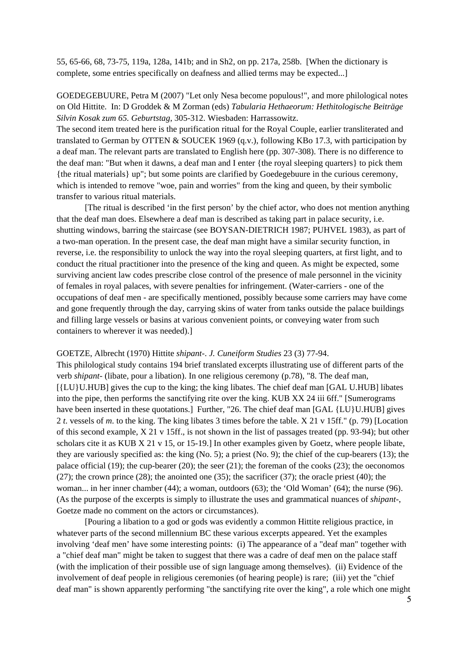55, 65-66, 68, 73-75, 119a, 128a, 141b; and in Sh2, on pp. 217a, 258b. [When the dictionary is complete, some entries specifically on deafness and allied terms may be expected...]

GOEDEGEBUURE, Petra M (2007) "Let only Nesa become populous!", and more philological notes on Old Hittite. In: D Groddek & M Zorman (eds) *Tabularia Hethaeorum: Hethitologische Beiträge Silvin Kosak zum 65. Geburtstag*, 305-312. Wiesbaden: Harrassowitz.

The second item treated here is the purification ritual for the Royal Couple, earlier transliterated and translated to German by OTTEN & SOUCEK 1969 (q.v.), following KBo 17.3, with participation by a deaf man. The relevant parts are translated to English here (pp. 307-308). There is no difference to the deaf man: "But when it dawns, a deaf man and I enter {the royal sleeping quarters} to pick them {the ritual materials} up"; but some points are clarified by Goedegebuure in the curious ceremony, which is intended to remove "woe, pain and worries" from the king and queen, by their symbolic transfer to various ritual materials.

 [The ritual is described 'in the first person' by the chief actor, who does not mention anything that the deaf man does. Elsewhere a deaf man is described as taking part in palace security, i.e. shutting windows, barring the staircase (see BOYSAN-DIETRICH 1987; PUHVEL 1983), as part of a two-man operation. In the present case, the deaf man might have a similar security function, in reverse, i.e. the responsibility to unlock the way into the royal sleeping quarters, at first light, and to conduct the ritual practitioner into the presence of the king and queen. As might be expected, some surviving ancient law codes prescribe close control of the presence of male personnel in the vicinity of females in royal palaces, with severe penalties for infringement. (Water-carriers - one of the occupations of deaf men - are specifically mentioned, possibly because some carriers may have come and gone frequently through the day, carrying skins of water from tanks outside the palace buildings and filling large vessels or basins at various convenient points, or conveying water from such containers to wherever it was needed).]

#### GOETZE, Albrecht (1970) Hittite *shipant-*. *J. Cuneiform Studies* 23 (3) 77-94.

This philological study contains 194 brief translated excerpts illustrating use of different parts of the verb *shipant-* (libate, pour a libation). In one religious ceremony (p.78), "8. The deaf man, [{LU}U.HUB] gives the cup to the king; the king libates. The chief deaf man [GAL U.HUB] libates into the pipe, then performs the sanctifying rite over the king. KUB XX 24 iii 6ff." [Sumerograms have been inserted in these quotations.] Further, "26. The chief deaf man [GAL {LU}U.HUB] gives 2 *t*. vessels of *m*. to the king. The king libates 3 times before the table. X 21 v 15ff." (p. 79) [Location of this second example, X 21 v 15ff., is not shown in the list of passages treated (pp. 93-94); but other scholars cite it as KUB X 21 v 15, or 15-19.] In other examples given by Goetz, where people libate, they are variously specified as: the king (No. 5); a priest (No. 9); the chief of the cup-bearers (13); the palace official  $(19)$ ; the cup-bearer  $(20)$ ; the seer  $(21)$ ; the foreman of the cooks  $(23)$ ; the oeconomos  $(27)$ ; the crown prince  $(28)$ ; the anointed one  $(35)$ ; the sacrificer  $(37)$ ; the oracle priest  $(40)$ ; the woman... in her inner chamber (44); a woman, outdoors (63); the 'Old Woman' (64); the nurse (96). (As the purpose of the excerpts is simply to illustrate the uses and grammatical nuances of *shipant-*, Goetze made no comment on the actors or circumstances).

 [Pouring a libation to a god or gods was evidently a common Hittite religious practice, in whatever parts of the second millennium BC these various excerpts appeared. Yet the examples involving 'deaf men' have some interesting points: (i) The appearance of a "deaf man" together with a "chief deaf man" might be taken to suggest that there was a cadre of deaf men on the palace staff (with the implication of their possible use of sign language among themselves). (ii) Evidence of the involvement of deaf people in religious ceremonies (of hearing people) is rare; (iii) yet the "chief deaf man" is shown apparently performing "the sanctifying rite over the king", a role which one might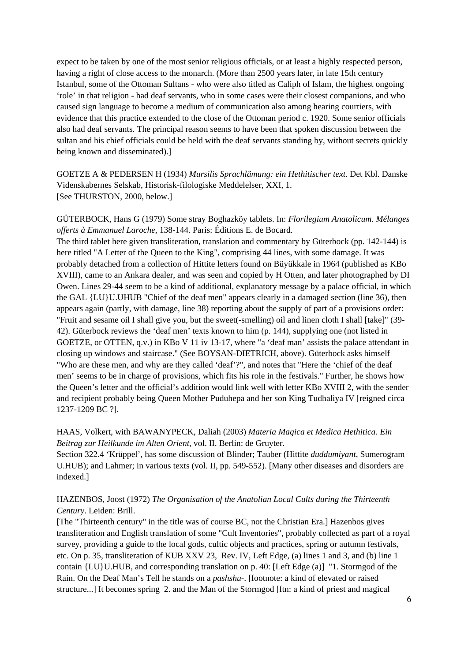expect to be taken by one of the most senior religious officials, or at least a highly respected person, having a right of close access to the monarch. (More than 2500 years later, in late 15th century Istanbul, some of the Ottoman Sultans - who were also titled as Caliph of Islam, the highest ongoing 'role' in that religion - had deaf servants, who in some cases were their closest companions, and who caused sign language to become a medium of communication also among hearing courtiers, with evidence that this practice extended to the close of the Ottoman period c. 1920. Some senior officials also had deaf servants. The principal reason seems to have been that spoken discussion between the sultan and his chief officials could be held with the deaf servants standing by, without secrets quickly being known and disseminated).]

GOETZE A & PEDERSEN H (1934) *Mursilis Sprachlämung: ein Hethitischer text*. Det Kbl. Danske Videnskabernes Selskab, Historisk-filologiske Meddelelser, XXI, 1. [See THURSTON, 2000, below.]

GÜTERBOCK, Hans G (1979) Some stray Boghazköy tablets. In: *Florilegium Anatolicum. Mélanges offerts à Emmanuel Laroche*, 138-144. Paris: Éditions E. de Bocard.

The third tablet here given transliteration, translation and commentary by Güterbock (pp. 142-144) is here titled "A Letter of the Queen to the King", comprising 44 lines, with some damage. It was probably detached from a collection of Hittite letters found on Büyükkale in 1964 (published as KBo XVIII), came to an Ankara dealer, and was seen and copied by H Otten, and later photographed by DI Owen. Lines 29-44 seem to be a kind of additional, explanatory message by a palace official, in which the GAL {LU}U.UHUB "Chief of the deaf men" appears clearly in a damaged section (line 36), then appears again (partly, with damage, line 38) reporting about the supply of part of a provisions order: "Fruit and sesame oil I shall give you, but the sweet(-smelling) oil and linen cloth I shall [take]" (39- 42). Güterbock reviews the 'deaf men' texts known to him (p. 144), supplying one (not listed in GOETZE, or OTTEN, q.v.) in KBo V 11 iv 13-17, where "a 'deaf man' assists the palace attendant in closing up windows and staircase." (See BOYSAN-DIETRICH, above). Güterbock asks himself "Who are these men, and why are they called 'deaf'?", and notes that "Here the 'chief of the deaf men' seems to be in charge of provisions, which fits his role in the festivals." Further, he shows how the Queen's letter and the official's addition would link well with letter KBo XVIII 2, with the sender and recipient probably being Queen Mother Puduhepa and her son King Tudhaliya IV [reigned circa 1237-1209 BC ?].

### HAAS, Volkert, with BAWANYPECK, Daliah (2003) *Materia Magica et Medica Hethitica. Ein Beitrag zur Heilkunde im Alten Orient*, vol. II. Berlin: de Gruyter.

Section 322.4 'Krüppel', has some discussion of Blinder; Tauber (Hittite *duddumiyant*, Sumerogram U.HUB); and Lahmer; in various texts (vol. II, pp. 549-552). [Many other diseases and disorders are indexed.]

## HAZENBOS, Joost (1972) *The Organisation of the Anatolian Local Cults during the Thirteenth Century*. Leiden: Brill.

[The "Thirteenth century" in the title was of course BC, not the Christian Era.] Hazenbos gives transliteration and English translation of some "Cult Inventories", probably collected as part of a royal survey, providing a guide to the local gods, cultic objects and practices, spring or autumn festivals, etc. On p. 35, transliteration of KUB XXV 23, Rev. IV, Left Edge, (a) lines 1 and 3, and (b) line 1 contain {LU}U.HUB, and corresponding translation on p. 40: [Left Edge (a)] "1. Stormgod of the Rain. On the Deaf Man's Tell he stands on a *pashshu*-. [footnote: a kind of elevated or raised structure...] It becomes spring 2. and the Man of the Stormgod [ftn: a kind of priest and magical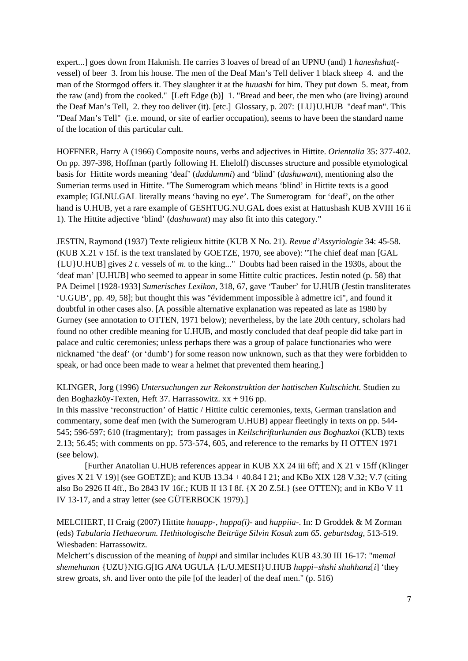expert...] goes down from Hakmish. He carries 3 loaves of bread of an UPNU (and) 1 *haneshshat*( vessel) of beer 3. from his house. The men of the Deaf Man's Tell deliver 1 black sheep 4. and the man of the Stormgod offers it. They slaughter it at the *huuashi* for him. They put down 5. meat, from the raw (and) from the cooked." [Left Edge (b)] 1. "Bread and beer, the men who (are living) around the Deaf Man's Tell, 2. they too deliver (it). [etc.] Glossary, p. 207: {LU}U.HUB "deaf man". This "Deaf Man's Tell" (i.e. mound, or site of earlier occupation), seems to have been the standard name of the location of this particular cult.

HOFFNER, Harry A (1966) Composite nouns, verbs and adjectives in Hittite. *Orientalia* 35: 377-402. On pp. 397-398, Hoffman (partly following H. Ehelolf) discusses structure and possible etymological basis for Hittite words meaning 'deaf' (*duddummi*) and 'blind' (*dashuwant*), mentioning also the Sumerian terms used in Hittite. "The Sumerogram which means 'blind' in Hittite texts is a good example; IGI.NU.GAL literally means 'having no eye'. The Sumerogram for 'deaf', on the other hand is U.HUB, yet a rare example of GESHTUG.NU.GAL does exist at Hattushash KUB XVIII 16 ii 1). The Hittite adjective 'blind' (*dashuwant*) may also fit into this category."

JESTIN, Raymond (1937) Texte religieux hittite (KUB X No. 21). *Revue d'Assyriologie* 34: 45-58. (KUB X.21 v 15f. is the text translated by GOETZE, 1970, see above): "The chief deaf man [GAL {LU}U.HUB] gives 2 *t*. vessels of *m*. to the king..." Doubts had been raised in the 1930s, about the 'deaf man' [U.HUB] who seemed to appear in some Hittite cultic practices. Jestin noted (p. 58) that PA Deimel [1928-1933] *Sumerisches Lexikon*, 318, 67, gave 'Tauber' for U.HUB (Jestin transliterates 'U.GUB', pp. 49, 58]; but thought this was "évidemment impossible à admettre ici", and found it doubtful in other cases also. [A possible alternative explanation was repeated as late as 1980 by Gurney (see annotation to OTTEN, 1971 below); nevertheless, by the late 20th century, scholars had found no other credible meaning for U.HUB, and mostly concluded that deaf people did take part in palace and cultic ceremonies; unless perhaps there was a group of palace functionaries who were nicknamed 'the deaf' (or 'dumb') for some reason now unknown, such as that they were forbidden to speak, or had once been made to wear a helmet that prevented them hearing.]

KLINGER, Jorg (1996) *Untersuchungen zur Rekonstruktion der hattischen Kultschicht*. Studien zu den Boghazköy-Texten, Heft 37. Harrassowitz. xx + 916 pp.

In this massive 'reconstruction' of Hattic / Hittite cultic ceremonies, texts, German translation and commentary, some deaf men (with the Sumerogram U.HUB) appear fleetingly in texts on pp. 544- 545; 596-597; 610 (fragmentary); from passages in *Keilschrifturkunden aus Boghazkoi* (KUB) texts 2.13; 56.45; with comments on pp. 573-574, 605, and reference to the remarks by H OTTEN 1971 (see below).

 [Further Anatolian U.HUB references appear in KUB XX 24 iii 6ff; and X 21 v 15ff (Klinger gives X 21 V 19)] (see GOETZE); and KUB 13.34 + 40.84 I 21; and KBo XIX 128 V.32; V.7 (citing also Bo 2926 II 4ff., Bo 2843 IV 16f.; KUB II 13 I 8f. {X 20 Z.5f.} (see OTTEN); and in KBo V 11 IV 13-17, and a stray letter (see GÜTERBOCK 1979).]

MELCHERT, H Craig (2007) Hittite *huuapp-, huppa(i)-* and *huppiia-*. In: D Groddek & M Zorman (eds) *Tabularia Hethaeorum. Hethitologische Beiträge Silvin Kosak zum 65. geburtsdag*, 513-519. Wiesbaden: Harrassowitz.

Melchert's discussion of the meaning of *huppi* and similar includes KUB 43.30 III 16-17: "*memal shemehunan* {UZU}NIG.G[IG *ANA* UGULA {L/U.MESH}U.HUB *huppi*=*shshi shuhhanz*[*i*] 'they strew groats, *sh*. and liver onto the pile [of the leader] of the deaf men." (p. 516)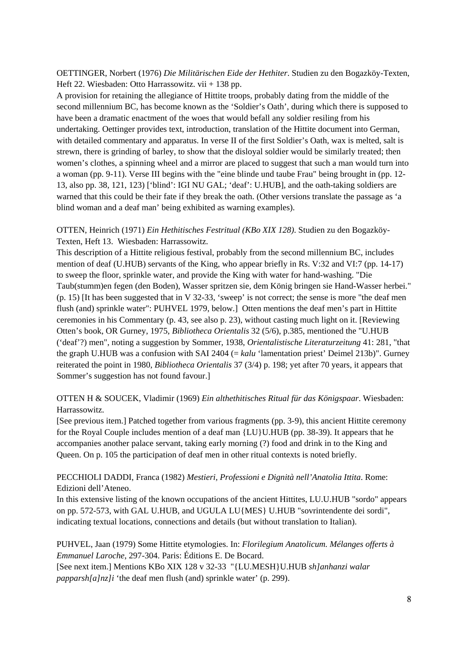## OETTINGER, Norbert (1976) *Die Militärischen Eide der Hethiter*. Studien zu den Bogazköy-Texten, Heft 22. Wiesbaden: Otto Harrassowitz. vii + 138 pp.

A provision for retaining the allegiance of Hittite troops, probably dating from the middle of the second millennium BC, has become known as the 'Soldier's Oath', during which there is supposed to have been a dramatic enactment of the woes that would befall any soldier resiling from his undertaking. Oettinger provides text, introduction, translation of the Hittite document into German, with detailed commentary and apparatus. In verse II of the first Soldier's Oath, wax is melted, salt is strewn, there is grinding of barley, to show that the disloyal soldier would be similarly treated; then women's clothes, a spinning wheel and a mirror are placed to suggest that such a man would turn into a woman (pp. 9-11). Verse III begins with the "eine blinde und taube Frau" being brought in (pp. 12- 13, also pp. 38, 121, 123) ['blind': IGI NU GAL; 'deaf': U.HUB], and the oath-taking soldiers are warned that this could be their fate if they break the oath. (Other versions translate the passage as 'a blind woman and a deaf man' being exhibited as warning examples).

## OTTEN, Heinrich (1971) *Ein Hethitisches Festritual (KBo XIX 128)*. Studien zu den Bogazköy-Texten, Heft 13. Wiesbaden: Harrassowitz.

This description of a Hittite religious festival, probably from the second millennium BC, includes mention of deaf (U.HUB) servants of the King, who appear briefly in Rs. V:32 and VI:7 (pp. 14-17) to sweep the floor, sprinkle water, and provide the King with water for hand-washing. "Die Taub(stumm)en fegen (den Boden), Wasser spritzen sie, dem König bringen sie Hand-Wasser herbei." (p. 15) [It has been suggested that in V 32-33, 'sweep' is not correct; the sense is more "the deaf men flush (and) sprinkle water": PUHVEL 1979, below.] Otten mentions the deaf men's part in Hittite ceremonies in his Commentary (p. 43, see also p. 23), without casting much light on it. [Reviewing Otten's book, OR Gurney, 1975, *Bibliotheca Orientalis* 32 (5/6), p.385, mentioned the "U.HUB ('deaf'?) men", noting a suggestion by Sommer, 1938, *Orientalistische Literaturzeitung* 41: 281, "that the graph U.HUB was a confusion with SAI 2404 (= *kalu* 'lamentation priest' Deimel 213b)". Gurney reiterated the point in 1980, *Bibliotheca Orientalis* 37 (3/4) p. 198; yet after 70 years, it appears that Sommer's suggestion has not found favour.]

## OTTEN H & SOUCEK, Vladimir (1969) *Ein althethitisches Ritual für das Königspaar*. Wiesbaden: Harrassowitz.

[See previous item.] Patched together from various fragments (pp. 3-9), this ancient Hittite ceremony for the Royal Couple includes mention of a deaf man {LU}U.HUB (pp. 38-39). It appears that he accompanies another palace servant, taking early morning (?) food and drink in to the King and Queen. On p. 105 the participation of deaf men in other ritual contexts is noted briefly.

## PECCHIOLI DADDI, Franca (1982) *Mestieri, Professioni e Dignità nell'Anatolia Ittita*. Rome: Edizioni dell'Ateneo.

In this extensive listing of the known occupations of the ancient Hittites, LU.U.HUB "sordo" appears on pp. 572-573, with GAL U.HUB, and UGULA LU{MES} U.HUB "sovrintendente dei sordi", indicating textual locations, connections and details (but without translation to Italian).

PUHVEL, Jaan (1979) Some Hittite etymologies. In: *Florilegium Anatolicum. Mélanges offerts à Emmanuel Laroche*, 297-304. Paris: Éditions E. De Bocard. [See next item.] Mentions KBo XIX 128 v 32-33 "{LU.MESH}U.HUB *sh]anhanzi walar papparsh[a]nz]i* 'the deaf men flush (and) sprinkle water' (p. 299).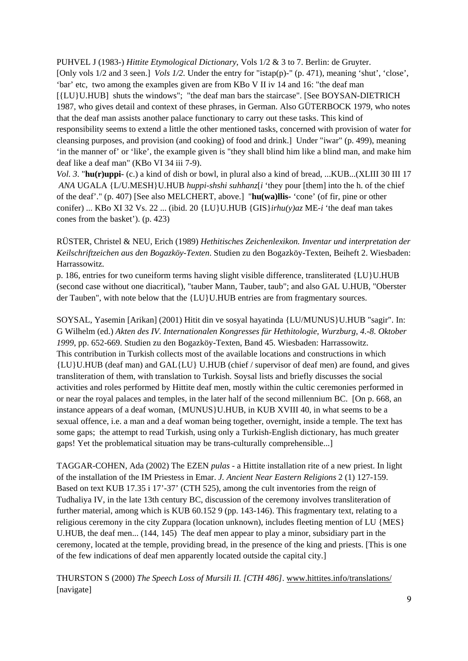PUHVEL J (1983-) *Hittite Etymological Dictionary*, Vols 1/2 & 3 to 7. Berlin: de Gruyter. [Only vols 1/2 and 3 seen.] *Vols 1/2*. Under the entry for "istap(p)-" (p. 471), meaning 'shut', 'close', 'bar' etc, two among the examples given are from KBo V II iv 14 and 16: "the deaf man [{LU}U.HUB] shuts the windows"; "the deaf man bars the staircase". [See BOYSAN-DIETRICH] 1987, who gives detail and context of these phrases, in German. Also GÜTERBOCK 1979, who notes that the deaf man assists another palace functionary to carry out these tasks. This kind of responsibility seems to extend a little the other mentioned tasks, concerned with provision of water for cleansing purposes, and provision (and cooking) of food and drink.] Under "iwar" (p. 499), meaning 'in the manner of' or 'like', the example given is "they shall blind him like a blind man, and make him deaf like a deaf man" (KBo VI 34 iii 7-9).

*Vol. 3*. "**hu(r)uppi-** (c.) a kind of dish or bowl, in plural also a kind of bread, ...KUB...(XLIII 30 III 17 *ANA* UGALA {L/U.MESH}U.HUB *huppi-shshi suhhanz*[*i* 'they pour [them] into the h. of the chief of the deaf'." (p. 407) [See also MELCHERT, above.] "**hu(wa)llis-** 'cone' (of fir, pine or other conifer) ... KBo XI 32 Vs. 22 ... (ibid. 20 {LU}U.HUB {GIS}*irhu(y)az* ME-*i* 'the deaf man takes cones from the basket'). (p. 423)

## RÜSTER, Christel & NEU, Erich (1989) *Hethitisches Zeichenlexikon. Inventar und interpretation der Keilschriftzeichen aus den Bogazköy-Texten*. Studien zu den Bogazköy-Texten, Beiheft 2. Wiesbaden: Harrassowitz.

p. 186, entries for two cuneiform terms having slight visible difference, transliterated {LU}U.HUB (second case without one diacritical), "tauber Mann, Tauber, taub"; and also GAL U.HUB, "Oberster der Tauben", with note below that the {LU}U.HUB entries are from fragmentary sources.

SOYSAL, Yasemin [Arikan] (2001) Hitit din ve sosyal hayatinda {LU/MUNUS}U.HUB "sagir". In: G Wilhelm (ed.) *Akten des IV. Internationalen Kongresses für Hethitologie, Wurzburg, 4.-8. Oktober 1999*, pp. 652-669. Studien zu den Bogazköy-Texten, Band 45. Wiesbaden: Harrassowitz. This contribution in Turkish collects most of the available locations and constructions in which {LU}U.HUB (deaf man) and GAL{LU} U.HUB (chief / supervisor of deaf men) are found, and gives transliteration of them, with translation to Turkish. Soysal lists and briefly discusses the social activities and roles performed by Hittite deaf men, mostly within the cultic ceremonies performed in or near the royal palaces and temples, in the later half of the second millennium BC. [On p. 668, an instance appears of a deaf woman, {MUNUS}U.HUB, in KUB XVIII 40, in what seems to be a sexual offence, i.e. a man and a deaf woman being together, overnight, inside a temple. The text has some gaps; the attempt to read Turkish, using only a Turkish-English dictionary, has much greater gaps! Yet the problematical situation may be trans-culturally comprehensible...]

TAGGAR-COHEN, Ada (2002) The EZEN *pulas* - a Hittite installation rite of a new priest. In light of the installation of the IM Priestess in Emar. *J. Ancient Near Eastern Religions* 2 (1) 127-159. Based on text KUB 17.35 i 17'-37' (CTH 525), among the cult inventories from the reign of Tudhaliya IV, in the late 13th century BC, discussion of the ceremony involves transliteration of further material, among which is KUB 60.152 9 (pp. 143-146). This fragmentary text, relating to a religious ceremony in the city Zuppara (location unknown), includes fleeting mention of LU {MES} U.HUB, the deaf men... (144, 145) The deaf men appear to play a minor, subsidiary part in the ceremony, located at the temple, providing bread, in the presence of the king and priests. [This is one of the few indications of deaf men apparently located outside the capital city.]

THURSTON S (2000) *The Speech Loss of Mursili II. [CTH 486]*. www.hittites.info/translations/ [navigate]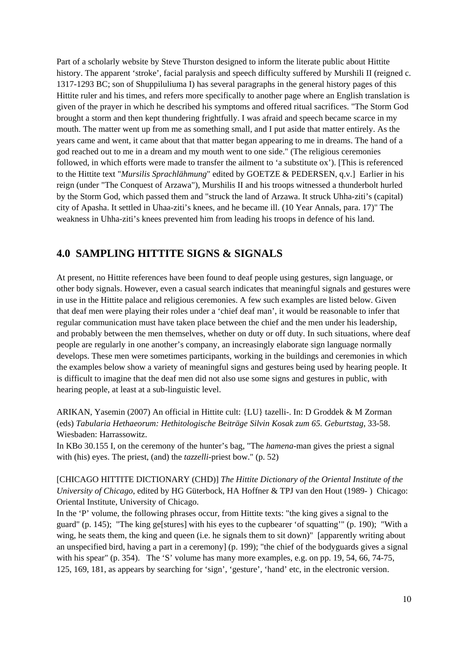Part of a scholarly website by Steve Thurston designed to inform the literate public about Hittite history. The apparent 'stroke', facial paralysis and speech difficulty suffered by Murshili II (reigned c. 1317-1293 BC; son of Shuppiluliuma I) has several paragraphs in the general history pages of this Hittite ruler and his times, and refers more specifically to another page where an English translation is given of the prayer in which he described his symptoms and offered ritual sacrifices. "The Storm God brought a storm and then kept thundering frightfully. I was afraid and speech became scarce in my mouth. The matter went up from me as something small, and I put aside that matter entirely. As the years came and went, it came about that that matter began appearing to me in dreams. The hand of a god reached out to me in a dream and my mouth went to one side." (The religious ceremonies followed, in which efforts were made to transfer the ailment to 'a substitute ox'). [This is referenced to the Hittite text "*Mursilis Sprachlähmung*" edited by GOETZE & PEDERSEN, q.v.] Earlier in his reign (under "The Conquest of Arzawa"), Murshilis II and his troops witnessed a thunderbolt hurled by the Storm God, which passed them and "struck the land of Arzawa. It struck Uhha-ziti's (capital) city of Apasha. It settled in Uhaa-ziti's knees, and he became ill. (10 Year Annals, para. 17)" The weakness in Uhha-ziti's knees prevented him from leading his troops in defence of his land.

## **4.0 SAMPLING HITTITE SIGNS & SIGNALS**

At present, no Hittite references have been found to deaf people using gestures, sign language, or other body signals. However, even a casual search indicates that meaningful signals and gestures were in use in the Hittite palace and religious ceremonies. A few such examples are listed below. Given that deaf men were playing their roles under a 'chief deaf man', it would be reasonable to infer that regular communication must have taken place between the chief and the men under his leadership, and probably between the men themselves, whether on duty or off duty. In such situations, where deaf people are regularly in one another's company, an increasingly elaborate sign language normally develops. These men were sometimes participants, working in the buildings and ceremonies in which the examples below show a variety of meaningful signs and gestures being used by hearing people. It is difficult to imagine that the deaf men did not also use some signs and gestures in public, with hearing people, at least at a sub-linguistic level.

ARIKAN, Yasemin (2007) An official in Hittite cult: {LU} tazelli-. In: D Groddek & M Zorman (eds) *Tabularia Hethaeorum: Hethitologische Beiträge Silvin Kosak zum 65. Geburtstag*, 33-58. Wiesbaden: Harrassowitz.

In KBo 30.155 I, on the ceremony of the hunter's bag, "The *hamena*-man gives the priest a signal with (his) eyes. The priest, (and) the *tazzelli*-priest bow." (p. 52)

[CHICAGO HITTITE DICTIONARY (CHD)] *The Hittite Dictionary of the Oriental Institute of the University of Chicago*, edited by HG Güterbock, HA Hoffner & TPJ van den Hout (1989- ) Chicago: Oriental Institute, University of Chicago.

In the 'P' volume, the following phrases occur, from Hittite texts: "the king gives a signal to the guard" (p. 145); "The king ge[stures] with his eyes to the cupbearer 'of squatting'" (p. 190); "With a wing, he seats them, the king and queen (i.e. he signals them to sit down)" [apparently writing about an unspecified bird, having a part in a ceremony] (p. 199); "the chief of the bodyguards gives a signal with his spear" (p. 354). The 'S' volume has many more examples, e.g. on pp. 19, 54, 66, 74-75, 125, 169, 181, as appears by searching for 'sign', 'gesture', 'hand' etc, in the electronic version.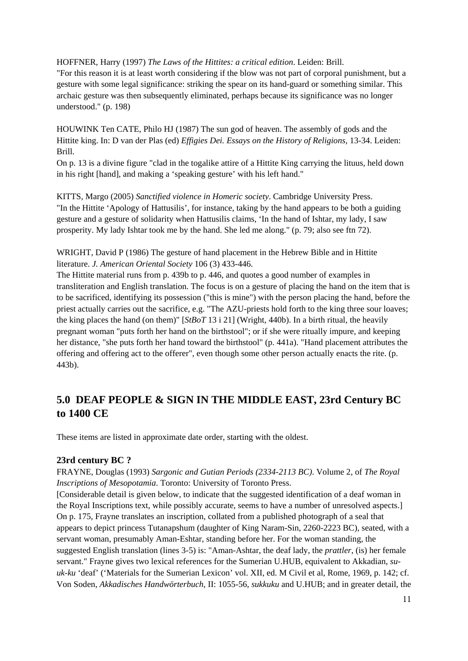HOFFNER, Harry (1997) *The Laws of the Hittites: a critical edition*. Leiden: Brill.

"For this reason it is at least worth considering if the blow was not part of corporal punishment, but a gesture with some legal significance: striking the spear on its hand-guard or something similar. This archaic gesture was then subsequently eliminated, perhaps because its significance was no longer understood." (p. 198)

HOUWINK Ten CATE, Philo HJ (1987) The sun god of heaven. The assembly of gods and the Hittite king. In: D van der Plas (ed) *Effigies Dei. Essays on the History of Religions*, 13-34. Leiden: Brill.

On p. 13 is a divine figure "clad in the togalike attire of a Hittite King carrying the lituus, held down in his right [hand], and making a 'speaking gesture' with his left hand."

KITTS, Margo (2005) *Sanctified violence in Homeric society*. Cambridge University Press. "In the Hittite 'Apology of Hattusilis', for instance, taking by the hand appears to be both a guiding gesture and a gesture of solidarity when Hattusilis claims, 'In the hand of Ishtar, my lady, I saw prosperity. My lady Ishtar took me by the hand. She led me along." (p. 79; also see ftn 72).

WRIGHT, David P (1986) The gesture of hand placement in the Hebrew Bible and in Hittite literature. *J. American Oriental Society* 106 (3) 433-446.

The Hittite material runs from p. 439b to p. 446, and quotes a good number of examples in transliteration and English translation. The focus is on a gesture of placing the hand on the item that is to be sacrificed, identifying its possession ("this is mine") with the person placing the hand, before the priest actually carries out the sacrifice, e.g. "The AZU-priests hold forth to the king three sour loaves; the king places the hand (on them)" [*StBoT* 13 i 21] (Wright, 440b). In a birth ritual, the heavily pregnant woman "puts forth her hand on the birthstool"; or if she were ritually impure, and keeping her distance, "she puts forth her hand toward the birthstool" (p. 441a). "Hand placement attributes the offering and offering act to the offerer", even though some other person actually enacts the rite. (p. 443b).

# **5.0 DEAF PEOPLE & SIGN IN THE MIDDLE EAST, 23rd Century BC to 1400 CE**

These items are listed in approximate date order, starting with the oldest.

## **23rd century BC ?**

FRAYNE, Douglas (1993) *Sargonic and Gutian Periods (2334-2113 BC)*. Volume 2, of *The Royal Inscriptions of Mesopotamia*. Toronto: University of Toronto Press.

[Considerable detail is given below, to indicate that the suggested identification of a deaf woman in the Royal Inscriptions text, while possibly accurate, seems to have a number of unresolved aspects.] On p. 175, Frayne translates an inscription, collated from a published photograph of a seal that appears to depict princess Tutanapshum (daughter of King Naram-Sin, 2260-2223 BC), seated, with a servant woman, presumably Aman-Eshtar, standing before her. For the woman standing, the suggested English translation (lines 3-5) is: "Aman-Ashtar, the deaf lady, the *prattler*, (is) her female servant." Frayne gives two lexical references for the Sumerian U.HUB, equivalent to Akkadian, *suuk-ku* 'deaf' ('Materials for the Sumerian Lexicon' vol. XII, ed. M Civil et al, Rome, 1969, p. 142; cf. Von Soden, *Akkadisches Handwörterbuch*, II: 1055-56, *sukkuku* and U.HUB; and in greater detail, the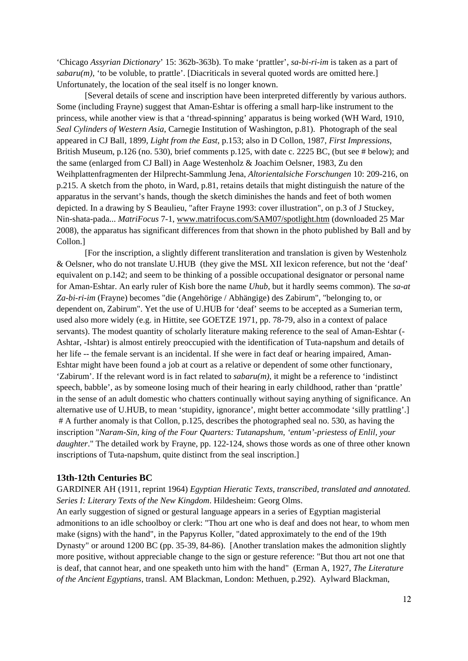'Chicago *Assyrian Dictionary*' 15: 362b-363b). To make 'prattler', *sa-bi-ri-im* is taken as a part of  $sabaru(m)$ , 'to be voluble, to prattle'. [Diacriticals in several quoted words are omitted here.] Unfortunately, the location of the seal itself is no longer known.

 [Several details of scene and inscription have been interpreted differently by various authors. Some (including Frayne) suggest that Aman-Eshtar is offering a small harp-like instrument to the princess, while another view is that a 'thread-spinning' apparatus is being worked (WH Ward, 1910, *Seal Cylinders of Western Asia*, Carnegie Institution of Washington, p.81). Photograph of the seal appeared in CJ Ball, 1899, *Light from the East*, p.153; also in D Collon, 1987, *First Impressions*, British Museum, p.126 (no. 530), brief comments p.125, with date c. 2225 BC, (but see # below); and the same (enlarged from CJ Ball) in Aage Westenholz & Joachim Oelsner, 1983, Zu den Weihplattenfragmenten der Hilprecht-Sammlung Jena, *Altorientalsiche Forschungen* 10: 209-216, on p.215. A sketch from the photo, in Ward, p.81, retains details that might distinguish the nature of the apparatus in the servant's hands, though the sketch diminishes the hands and feet of both women depicted. In a drawing by S Beaulieu, "after Frayne 1993: cover illustration", on p.3 of J Stuckey, Nin-shata-pada... *MatriFocus* 7-1, www.matrifocus.com/SAM07/spotlight.htm (downloaded 25 Mar 2008), the apparatus has significant differences from that shown in the photo published by Ball and by Collon.]

 [For the inscription, a slightly different transliteration and translation is given by Westenholz & Oelsner, who do not translate U.HUB (they give the MSL XII lexicon reference, but not the 'deaf' equivalent on p.142; and seem to be thinking of a possible occupational designator or personal name for Aman-Eshtar. An early ruler of Kish bore the name *Uhub*, but it hardly seems common). The *sa-at Za-bi-ri-im* (Frayne) becomes "die (Angehörige / Abhängige) des Zabirum", "belonging to, or dependent on, Zabirum". Yet the use of U.HUB for 'deaf' seems to be accepted as a Sumerian term, used also more widely (e.g. in Hittite, see GOETZE 1971, pp. 78-79, also in a context of palace servants). The modest quantity of scholarly literature making reference to the seal of Aman-Eshtar (- Ashtar, -Ishtar) is almost entirely preoccupied with the identification of Tuta-napshum and details of her life -- the female servant is an incidental. If she were in fact deaf or hearing impaired, Aman-Eshtar might have been found a job at court as a relative or dependent of some other functionary, 'Zabirum'. If the relevant word is in fact related to  $sabaru(m)$ , it might be a reference to 'indistinct' speech, babble', as by someone losing much of their hearing in early childhood, rather than 'prattle' in the sense of an adult domestic who chatters continually without saying anything of significance. An alternative use of U.HUB, to mean 'stupidity, ignorance', might better accommodate 'silly prattling'.] # A further anomaly is that Collon, p.125, describes the photographed seal no. 530, as having the inscription "*Naram-Sin, king of the Four Quarters: Tutanapshum, 'entum'-priestess of Enlil, your daughter*." The detailed work by Frayne, pp. 122-124, shows those words as one of three other known inscriptions of Tuta-napshum, quite distinct from the seal inscription.]

#### **13th-12th Centuries BC**

GARDINER AH (1911, reprint 1964) *Egyptian Hieratic Texts, transcribed, translated and annotated. Series I: Literary Texts of the New Kingdom*. Hildesheim: Georg Olms.

An early suggestion of signed or gestural language appears in a series of Egyptian magisterial admonitions to an idle schoolboy or clerk: "Thou art one who is deaf and does not hear, to whom men make (signs) with the hand", in the Papyrus Koller, "dated approximately to the end of the 19th Dynasty" or around 1200 BC (pp. 35-39, 84-86). [Another translation makes the admonition slightly more positive, without appreciable change to the sign or gesture reference: "But thou art not one that is deaf, that cannot hear, and one speaketh unto him with the hand" (Erman A, 1927, *The Literature of the Ancient Egyptians*, transl. AM Blackman, London: Methuen, p.292). Aylward Blackman,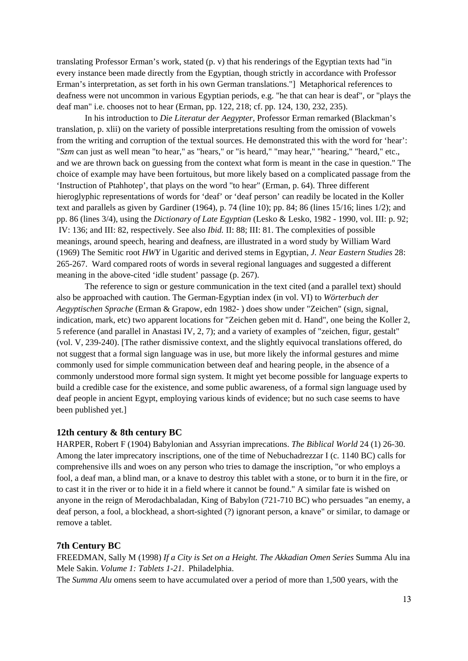translating Professor Erman's work, stated (p. v) that his renderings of the Egyptian texts had "in every instance been made directly from the Egyptian, though strictly in accordance with Professor Erman's interpretation, as set forth in his own German translations."] Metaphorical references to deafness were not uncommon in various Egyptian periods, e.g. "he that can hear is deaf", or "plays the deaf man" i.e. chooses not to hear (Erman, pp. 122, 218; cf. pp. 124, 130, 232, 235).

 In his introduction to *Die Literatur der Aegypter*, Professor Erman remarked (Blackman's translation, p. xlii) on the variety of possible interpretations resulting from the omission of vowels from the writing and corruption of the textual sources. He demonstrated this with the word for 'hear': "*Szm* can just as well mean "to hear," as "hears," or "is heard," "may hear," "hearing," "heard," etc., and we are thrown back on guessing from the context what form is meant in the case in question." The choice of example may have been fortuitous, but more likely based on a complicated passage from the 'Instruction of Ptahhotep', that plays on the word "to hear" (Erman, p. 64). Three different hieroglyphic representations of words for 'deaf' or 'deaf person' can readily be located in the Koller text and parallels as given by Gardiner (1964), p. 74 (line 10); pp. 84; 86 (lines 15/16; lines 1/2); and pp. 86 (lines 3/4), using the *Dictionary of Late Egyptian* (Lesko & Lesko, 1982 - 1990, vol. III: p. 92; IV: 136; and III: 82, respectively. See also *Ibid.* II: 88; III: 81. The complexities of possible meanings, around speech, hearing and deafness, are illustrated in a word study by William Ward (1969) The Semitic root *HWY* in Ugaritic and derived stems in Egyptian, *J. Near Eastern Studies* 28: 265-267. Ward compared roots of words in several regional languages and suggested a different meaning in the above-cited 'idle student' passage (p. 267).

 The reference to sign or gesture communication in the text cited (and a parallel text) should also be approached with caution. The German-Egyptian index (in vol. VI) to *Wörterbuch der Aegyptischen Sprache* (Erman & Grapow, edn 1982- ) does show under "Zeichen" (sign, signal, indication, mark, etc) two apparent locations for "Zeichen geben mit d. Hand", one being the Koller 2, 5 reference (and parallel in Anastasi IV, 2, 7); and a variety of examples of "zeichen, figur, gestalt" (vol. V, 239-240). [The rather dismissive context, and the slightly equivocal translations offered, do not suggest that a formal sign language was in use, but more likely the informal gestures and mime commonly used for simple communication between deaf and hearing people, in the absence of a commonly understood more formal sign system. It might yet become possible for language experts to build a credible case for the existence, and some public awareness, of a formal sign language used by deaf people in ancient Egypt, employing various kinds of evidence; but no such case seems to have been published yet.]

#### **12th century & 8th century BC**

HARPER, Robert F (1904) Babylonian and Assyrian imprecations. *The Biblical World* 24 (1) 26-30. Among the later imprecatory inscriptions, one of the time of Nebuchadrezzar I (c. 1140 BC) calls for comprehensive ills and woes on any person who tries to damage the inscription, "or who employs a fool, a deaf man, a blind man, or a knave to destroy this tablet with a stone, or to burn it in the fire, or to cast it in the river or to hide it in a field where it cannot be found." A similar fate is wished on anyone in the reign of Merodachbaladan, King of Babylon (721-710 BC) who persuades "an enemy, a deaf person, a fool, a blockhead, a short-sighted (?) ignorant person, a knave" or similar, to damage or remove a tablet.

#### **7th Century BC**

FREEDMAN, Sally M (1998) *If a City is Set on a Height. The Akkadian Omen Series* Summa Alu ina Mele Sakin. *Volume 1: Tablets 1-21*. Philadelphia.

The *Summa Alu* omens seem to have accumulated over a period of more than 1,500 years, with the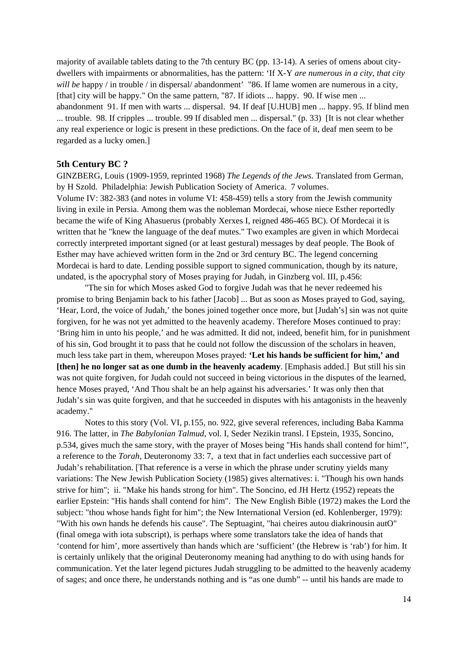majority of available tablets dating to the 7th century BC (pp. 13-14). A series of omens about citydwellers with impairments or abnormalities, has the pattern: 'If X-Y *are numerous in a city, that city will be* happy / in trouble / in dispersal/ abandonment' "86. If lame women are numerous in a city, [that] city will be happy." On the same pattern, "87. If idiots ... happy. 90. If wise men ... abandonment 91. If men with warts ... dispersal. 94. If deaf [U.HUB] men ... happy. 95. If blind men ... trouble. 98. If cripples ... trouble. 99 If disabled men ... dispersal." (p. 33) [It is not clear whether any real experience or logic is present in these predictions. On the face of it, deaf men seem to be regarded as a lucky omen.]

#### **5th Century BC ?**

GINZBERG, Louis (1909-1959, reprinted 1968) *The Legends of the Jews.* Translated from German, by H Szold. Philadelphia: Jewish Publication Society of America. 7 volumes.

Volume IV: 382-383 (and notes in volume VI: 458-459) tells a story from the Jewish community living in exile in Persia. Among them was the nobleman Mordecai, whose niece Esther reportedly became the wife of King Ahasuerus (probably Xerxes I, reigned 486-465 BC). Of Mordecai it is written that he "knew the language of the deaf mutes." Two examples are given in which Mordecai correctly interpreted important signed (or at least gestural) messages by deaf people. The Book of Esther may have achieved written form in the 2nd or 3rd century BC. The legend concerning Mordecai is hard to date. Lending possible support to signed communication, though by its nature, undated, is the apocryphal story of Moses praying for Judah, in Ginzberg vol. III, p.456:

 "The sin for which Moses asked God to forgive Judah was that he never redeemed his promise to bring Benjamin back to his father [Jacob] ... But as soon as Moses prayed to God, saying, 'Hear, Lord, the voice of Judah,' the bones joined together once more, but [Judah's] sin was not quite forgiven, for he was not yet admitted to the heavenly academy. Therefore Moses continued to pray: 'Bring him in unto his people,' and he was admitted. It did not, indeed, benefit him, for in punishment of his sin, God brought it to pass that he could not follow the discussion of the scholars in heaven, much less take part in them, whereupon Moses prayed: **'Let his hands be sufficient for him,' and [then] he no longer sat as one dumb in the heavenly academy**. [Emphasis added.] But still his sin was not quite forgiven, for Judah could not succeed in being victorious in the disputes of the learned, hence Moses prayed, 'And Thou shalt be an help against his adversaries.' It was only then that Judah's sin was quite forgiven, and that he succeeded in disputes with his antagonists in the heavenly academy."

 Notes to this story (Vol. VI, p.155, no. 922, give several references, including Baba Kamma 916. The latter, in *The Babylonian Talmud*, vol. I, Seder Nezikin transl. I Epstein, 1935, Soncino, p.534, gives much the same story, with the prayer of Moses being "His hands shall contend for him!", a reference to the *Torah,* Deuteronomy 33: 7, a text that in fact underlies each successive part of Judah's rehabilitation. [That reference is a verse in which the phrase under scrutiny yields many variations: The New Jewish Publication Society (1985) gives alternatives: i. "Though his own hands strive for him"; ii. "Make his hands strong for him". The Soncino, ed JH Hertz (1952) repeats the earlier Epstein: "His hands shall contend for him". The New English Bible (1972) makes the Lord the subject: "thou whose hands fight for him"; the New International Version (ed. Kohlenberger, 1979): "With his own hands he defends his cause". The Septuagint, "hai cheires autou diakrinousin autO" (final omega with iota subscript), is perhaps where some translators take the idea of hands that 'contend for him', more assertively than hands which are 'sufficient' (the Hebrew is 'rab') for him. It is certainly unlikely that the original Deuteronomy meaning had anything to do with using hands for communication. Yet the later legend pictures Judah struggling to be admitted to the heavenly academy of sages; and once there, he understands nothing and is "as one dumb" -- until his hands are made to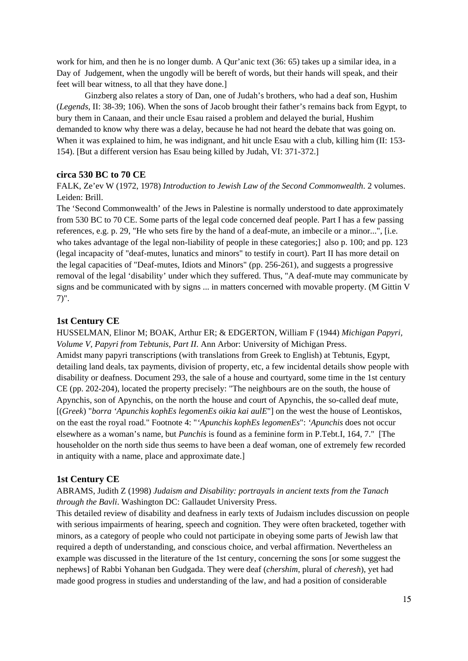work for him, and then he is no longer dumb. A Qur'anic text (36: 65) takes up a similar idea, in a Day of Judgement, when the ungodly will be bereft of words, but their hands will speak, and their feet will bear witness, to all that they have done.]

 Ginzberg also relates a story of Dan, one of Judah's brothers, who had a deaf son, Hushim (*Legends*, II: 38-39; 106). When the sons of Jacob brought their father's remains back from Egypt, to bury them in Canaan, and their uncle Esau raised a problem and delayed the burial, Hushim demanded to know why there was a delay, because he had not heard the debate that was going on. When it was explained to him, he was indignant, and hit uncle Esau with a club, killing him (II: 153-154). [But a different version has Esau being killed by Judah, VI: 371-372.]

#### **circa 530 BC to 70 CE**

FALK, Ze'ev W (1972, 1978) *Introduction to Jewish Law of the Second Commonwealth*. 2 volumes. Leiden: Brill.

The 'Second Commonwealth' of the Jews in Palestine is normally understood to date approximately from 530 BC to 70 CE. Some parts of the legal code concerned deaf people. Part I has a few passing references, e.g. p. 29, "He who sets fire by the hand of a deaf-mute, an imbecile or a minor...", [i.e. who takes advantage of the legal non-liability of people in these categories;] also p. 100; and pp. 123 (legal incapacity of "deaf-mutes, lunatics and minors" to testify in court). Part II has more detail on the legal capacities of "Deaf-mutes, Idiots and Minors" (pp. 256-261), and suggests a progressive removal of the legal 'disability' under which they suffered. Thus, "A deaf-mute may communicate by signs and be communicated with by signs ... in matters concerned with movable property. (M Gittin V 7)".

#### **1st Century CE**

HUSSELMAN, Elinor M; BOAK, Arthur ER; & EDGERTON, William F (1944) *Michigan Papyri, Volume V, Papyri from Tebtunis, Part II*. Ann Arbor: University of Michigan Press. Amidst many papyri transcriptions (with translations from Greek to English) at Tebtunis, Egypt, detailing land deals, tax payments, division of property, etc, a few incidental details show people with disability or deafness. Document 293, the sale of a house and courtyard, some time in the 1st century CE (pp. 202-204), located the property precisely: "The neighbours are on the south, the house of Apynchis, son of Apynchis, on the north the house and court of Apynchis, the so-called deaf mute, [(*Greek*) "*borra 'Apunchis kophEs legomenEs oikia kai aulE*"] on the west the house of Leontiskos, on the east the royal road." Footnote 4: "*'Apunchis kophEs legomenEs*": *'Apunchis* does not occur elsewhere as a woman's name, but *Punchis* is found as a feminine form in P.Tebt.I, 164, 7." [The householder on the north side thus seems to have been a deaf woman, one of extremely few recorded in antiquity with a name, place and approximate date.]

#### **1st Century CE**

## ABRAMS, Judith Z (1998) *Judaism and Disability: portrayals in ancient texts from the Tanach through the Bavli*. Washington DC: Gallaudet University Press.

This detailed review of disability and deafness in early texts of Judaism includes discussion on people with serious impairments of hearing, speech and cognition. They were often bracketed, together with minors, as a category of people who could not participate in obeying some parts of Jewish law that required a depth of understanding, and conscious choice, and verbal affirmation. Nevertheless an example was discussed in the literature of the 1st century, concerning the sons [or some suggest the nephews] of Rabbi Yohanan ben Gudgada. They were deaf (*chershim*, plural of *cheresh*), yet had made good progress in studies and understanding of the law, and had a position of considerable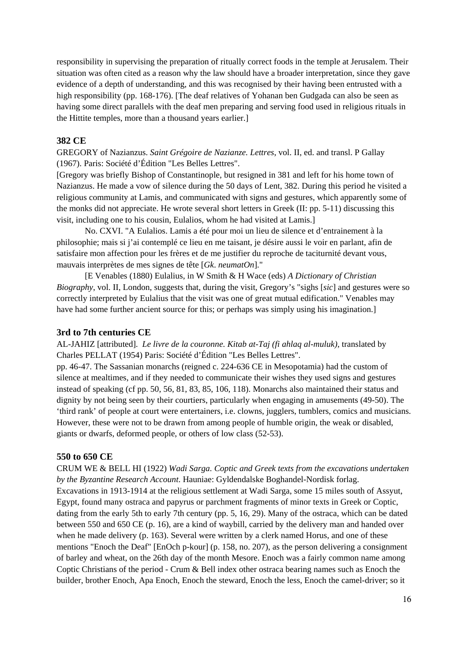responsibility in supervising the preparation of ritually correct foods in the temple at Jerusalem. Their situation was often cited as a reason why the law should have a broader interpretation, since they gave evidence of a depth of understanding, and this was recognised by their having been entrusted with a high responsibility (pp. 168-176). [The deaf relatives of Yohanan ben Gudgada can also be seen as having some direct parallels with the deaf men preparing and serving food used in religious rituals in the Hittite temples, more than a thousand years earlier.]

#### **382 CE**

GREGORY of Nazianzus. *Saint Grégoire de Nazianze. Lettres*, vol. II, ed. and transl. P Gallay (1967). Paris: Société d'Édition "Les Belles Lettres".

[Gregory was briefly Bishop of Constantinople, but resigned in 381 and left for his home town of Nazianzus. He made a vow of silence during the 50 days of Lent, 382. During this period he visited a religious community at Lamis, and communicated with signs and gestures, which apparently some of the monks did not appreciate. He wrote several short letters in Greek (II: pp. 5-11) discussing this visit, including one to his cousin, Eulalios, whom he had visited at Lamis.]

 No. CXVI. "A Eulalios. Lamis a été pour moi un lieu de silence et d'entrainement à la philosophie; mais si j'ai contemplé ce lieu en me taisant, je désire aussi le voir en parlant, afin de satisfaire mon affection pour les frères et de me justifier du reproche de taciturnité devant vous, mauvais interprètes de mes signes de tête [*Gk*. *neumatOn*]."

 [E Venables (1880) Eulalius, in W Smith & H Wace (eds) *A Dictionary of Christian Biography*, vol. II, London, suggests that, during the visit, Gregory's "sighs [*sic*] and gestures were so correctly interpreted by Eulalius that the visit was one of great mutual edification." Venables may have had some further ancient source for this; or perhaps was simply using his imagination.

#### **3rd to 7th centuries CE**

AL-JAHIZ [attributed]. *Le livre de la couronne. Kitab at-Taj (fi ahlaq al-muluk)*, translated by Charles PELLAT (1954) Paris: Société d'Édition "Les Belles Lettres".

pp. 46-47. The Sassanian monarchs (reigned c. 224-636 CE in Mesopotamia) had the custom of silence at mealtimes, and if they needed to communicate their wishes they used signs and gestures instead of speaking (cf pp. 50, 56, 81, 83, 85, 106, 118). Monarchs also maintained their status and dignity by not being seen by their courtiers, particularly when engaging in amusements (49-50). The 'third rank' of people at court were entertainers, i.e. clowns, jugglers, tumblers, comics and musicians. However, these were not to be drawn from among people of humble origin, the weak or disabled, giants or dwarfs, deformed people, or others of low class (52-53).

#### **550 to 650 CE**

CRUM WE & BELL HI (1922) *Wadi Sarga. Coptic and Greek texts from the excavations undertaken by the Byzantine Research Account*. Hauniae: Gyldendalske Boghandel-Nordisk forlag. Excavations in 1913-1914 at the religious settlement at Wadi Sarga, some 15 miles south of Assyut, Egypt, found many ostraca and papyrus or parchment fragments of minor texts in Greek or Coptic, dating from the early 5th to early 7th century (pp. 5, 16, 29). Many of the ostraca, which can be dated between 550 and 650 CE (p. 16), are a kind of waybill, carried by the delivery man and handed over when he made delivery (p. 163). Several were written by a clerk named Horus, and one of these mentions "Enoch the Deaf" [EnOch p-kour] (p. 158, no. 207), as the person delivering a consignment of barley and wheat, on the 26th day of the month Mesore. Enoch was a fairly common name among Coptic Christians of the period - Crum & Bell index other ostraca bearing names such as Enoch the builder, brother Enoch, Apa Enoch, Enoch the steward, Enoch the less, Enoch the camel-driver; so it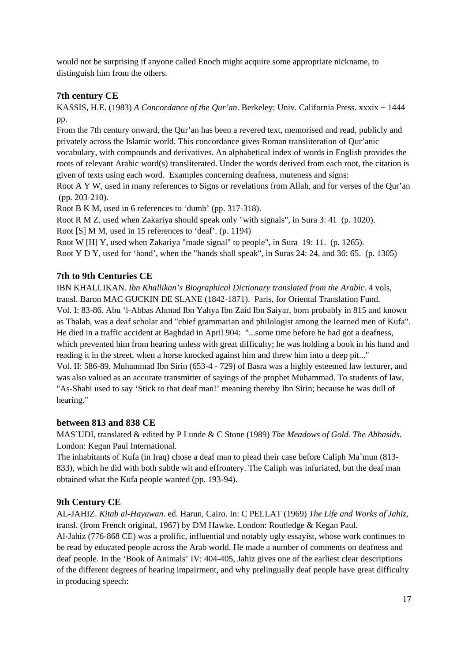would not be surprising if anyone called Enoch might acquire some appropriate nickname, to distinguish him from the others.

## **7th century CE**

KASSIS, H.E. (1983) *A Concordance of the Qur'an*. Berkeley: Univ. California Press. xxxix + 1444 pp.

From the 7th century onward, the Qur'an has been a revered text, memorised and read, publicly and privately across the Islamic world. This concordance gives Roman transliteration of Qur'anic vocabulary, with compounds and derivatives. An alphabetical index of words in English provides the roots of relevant Arabic word(s) transliterated. Under the words derived from each root, the citation is given of texts using each word. Examples concerning deafness, muteness and signs:

Root A Y W, used in many references to Signs or revelations from Allah, and for verses of the Qur'an (pp. 203-210).

Root B K M, used in 6 references to 'dumb' (pp. 317-318).

Root R M Z, used when Zakariya should speak only "with signals", in Sura 3: 41 (p. 1020).

Root [S] M M, used in 15 references to 'deaf'. (p. 1194)

Root W [H] Y, used when Zakariya "made signal" to people", in Sura 19: 11. (p. 1265).

Root Y D Y, used for 'hand', when the "hands shall speak", in Suras 24: 24, and 36: 65. (p. 1305)

## **7th to 9th Centuries CE**

IBN KHALLIKAN. *Ibn Khallikan's Biographical Dictionary translated from the Arabic*. 4 vols, transl. Baron MAC GUCKIN DE SLANE (1842-1871). Paris, for Oriental Translation Fund. Vol. I: 83-86. Abu 'l-Abbas Ahmad Ibn Yahya Ibn Zaid Ibn Saiyar, born probably in 815 and known as Thalab, was a deaf scholar and "chief grammarian and philologist among the learned men of Kufa". He died in a traffic accident at Baghdad in April 904: "...some time before he had got a deafness, which prevented him from hearing unless with great difficulty; he was holding a book in his hand and reading it in the street, when a horse knocked against him and threw him into a deep pit..." Vol. II: 586-89. Muhammad Ibn Sirin (653-4 - 729) of Basra was a highly esteemed law lecturer, and was also valued as an accurate transmitter of sayings of the prophet Muhammad. To students of law, "As-Shabi used to say 'Stick to that deaf man!' meaning thereby Ibn Sirin; because he was dull of hearing."

## **between 813 and 838 CE**

MAS`UDI, translated & edited by P Lunde & C Stone (1989) *The Meadows of Gold. The Abbasids*. London: Kegan Paul International.

The inhabitants of Kufa (in Iraq) chose a deaf man to plead their case before Caliph Ma`mun (813- 833), which he did with both subtle wit and effrontery. The Caliph was infuriated, but the deaf man obtained what the Kufa people wanted (pp. 193-94).

## **9th Century CE**

AL-JAHIZ. *Kitab al-Hayawan*. ed. Harun, Cairo. In: C PELLAT (1969) *The Life and Works of Jahiz*, transl. (from French original, 1967) by DM Hawke. London: Routledge & Kegan Paul.

Al-Jahiz (776-868 CE) was a prolific, influential and notably ugly essayist, whose work continues to be read by educated people across the Arab world. He made a number of comments on deafness and deaf people. In the 'Book of Animals' IV: 404-405, Jahiz gives one of the earliest clear descriptions of the different degrees of hearing impairment, and why prelingually deaf people have great difficulty in producing speech: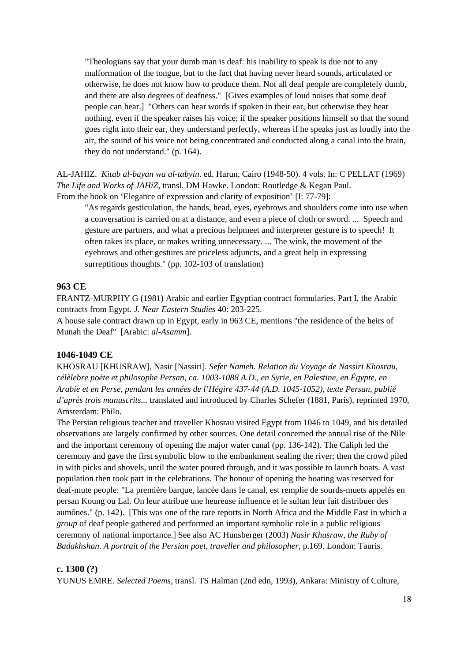"Theologians say that your dumb man is deaf: his inability to speak is due not to any malformation of the tongue, but to the fact that having never heard sounds, articulated or otherwise, he does not know how to produce them. Not all deaf people are completely dumb, and there are also degrees of deafness." [Gives examples of loud noises that some deaf people can hear.] "Others can hear words if spoken in their ear, but otherwise they hear nothing, even if the speaker raises his voice; if the speaker positions himself so that the sound goes right into their ear, they understand perfectly, whereas if he speaks just as loudly into the air, the sound of his voice not being concentrated and conducted along a canal into the brain, they do not understand." (p. 164).

AL-JAHIZ. *Kitab al-bayan wa al-tabyin*. ed. Harun, Cairo (1948-50). 4 vols. In: C PELLAT (1969) *The Life and Works of JAHiZ*, transl. DM Hawke. London: Routledge & Kegan Paul. From the book on 'Elegance of expression and clarity of exposition' [I: 77-79]:

 "As regards gesticulation, the hands, head, eyes, eyebrows and shoulders come into use when a conversation is carried on at a distance, and even a piece of cloth or sword. ... Speech and gesture are partners, and what a precious helpmeet and interpreter gesture is to speech! It often takes its place, or makes writing unnecessary. ... The wink, the movement of the eyebrows and other gestures are priceless adjuncts, and a great help in expressing surreptitious thoughts." (pp. 102-103 of translation)

#### **963 CE**

FRANTZ-MURPHY G (1981) Arabic and earlier Egyptian contract formularies. Part I, the Arabic contracts from Egypt. *J. Near Eastern Studies* 40: 203-225.

A house sale contract drawn up in Egypt, early in 963 CE, mentions "the residence of the heirs of Munah the Deaf" [Arabic: *al-Asamm*].

#### **1046-1049 CE**

KHOSRAU [KHUSRAW], Nasir [Nassiri]. *Sefer Nameh. Relation du Voyage de Nassiri Khosrau, célèlebre poète et philosophe Persan, ca. 1003-1088 A.D., en Syrie, en Palestine, en Égypte, en Arabie et en Perse, pendant les années de l'Hégire 437-44 (A.D. 1045-1052), texte Persan, publié d'après trois manuscrits...* translated and introduced by Charles Schefer (1881, Paris), reprinted 1970, Amsterdam: Philo.

The Persian religious teacher and traveller Khosrau visited Egypt from 1046 to 1049, and his detailed observations are largely confirmed by other sources. One detail concerned the annual rise of the Nile and the important ceremony of opening the major water canal (pp. 136-142). The Caliph led the ceremony and gave the first symbolic blow to the embankment sealing the river; then the crowd piled in with picks and shovels, until the water poured through, and it was possible to launch boats. A vast population then took part in the celebrations. The honour of opening the boating was reserved for deaf-mute people: "La première barque, lancée dans le canal, est remplie de sourds-muets appelés en persan Koung ou Lal. On leur attribue une heureuse influence et le sultan leur fait distribuer des aumônes." (p. 142). [This was one of the rare reports in North Africa and the Middle East in which a *group* of deaf people gathered and performed an important symbolic role in a public religious ceremony of national importance.] See also AC Hunsberger (2003) *Nasir Khusraw, the Ruby of Badakhshan. A portrait of the Persian poet, traveller and philosopher*, p.169. London: Tauris.

#### **c. 1300 (?)**

YUNUS EMRE. *Selected Poems*, transl. TS Halman (2nd edn, 1993), Ankara: Ministry of Culture,